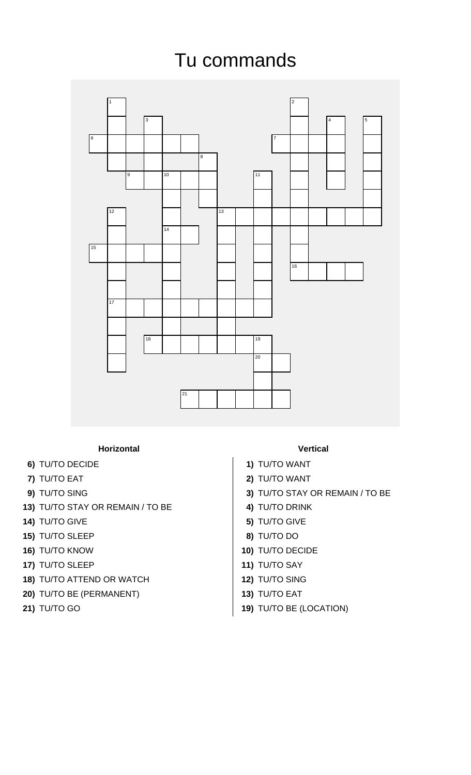## Tu commands



## **Horizontal Vertical**

- **6)** TU/TO DECIDE **1)** TU/TO WANT
- 
- 
- **13)** TU/TO STAY OR REMAIN / TO BE **4)** TU/TO DRINK
- **14)** TU/TO GIVE **5)** TU/TO GIVE
- **15)** TU/TO SLEEP **8)** TU/TO DO
- 
- **17)** TU/TO SLEEP **11)** TU/TO SAY
- **18)** TU/TO ATTEND OR WATCH **12)** TU/TO SING
- **20)** TU/TO BE (PERMANENT) **13)** TU/TO EAT
- 

- 
- **7)** TU/TO EAT **2)** TU/TO WANT
- **9)** TU/TO SING **3)** TU/TO STAY OR REMAIN / TO BE
	-
	-
	-
- **16)** TU/TO KNOW **10)** TU/TO DECIDE
	-
	-
	-
- **21)** TU/TO GO **19)** TU/TO BE (LOCATION)